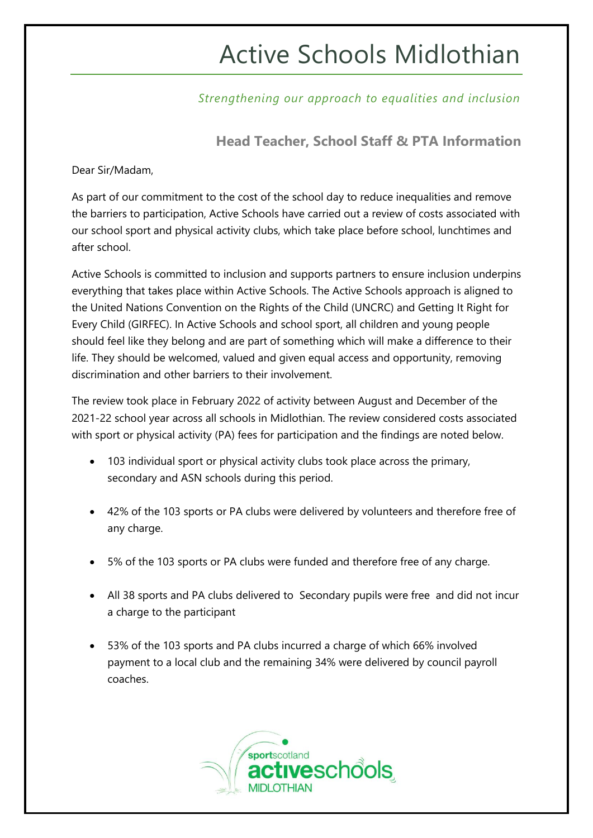# Active Schools Midlothian

*Strengthening our approach to equalities and inclusion*

**Head Teacher, School Staff & PTA Information**

Dear Sir/Madam,

As part of our commitment to the cost of the school day to reduce inequalities and remove the barriers to participation, Active Schools have carried out a review of costs associated with our school sport and physical activity clubs, which take place before school, lunchtimes and after school.

Active Schools is committed to inclusion and supports partners to ensure inclusion underpins everything that takes place within Active Schools. The Active Schools approach is aligned to the United Nations Convention on the Rights of the Child (UNCRC) and Getting It Right for Every Child (GIRFEC). In Active Schools and school sport, all children and young people should feel like they belong and are part of something which will make a difference to their life. They should be welcomed, valued and given equal access and opportunity, removing discrimination and other barriers to their involvement.

The review took place in February 2022 of activity between August and December of the 2021-22 school year across all schools in Midlothian. The review considered costs associated with sport or physical activity (PA) fees for participation and the findings are noted below.

- 103 individual sport or physical activity clubs took place across the primary, secondary and ASN schools during this period.
- 42% of the 103 sports or PA clubs were delivered by volunteers and therefore free of any charge.
- 5% of the 103 sports or PA clubs were funded and therefore free of any charge.
- All 38 sports and PA clubs delivered to Secondary pupils were free and did not incur a charge to the participant
- 53% of the 103 sports and PA clubs incurred a charge of which 66% involved payment to a local club and the remaining 34% were delivered by council payroll coaches.

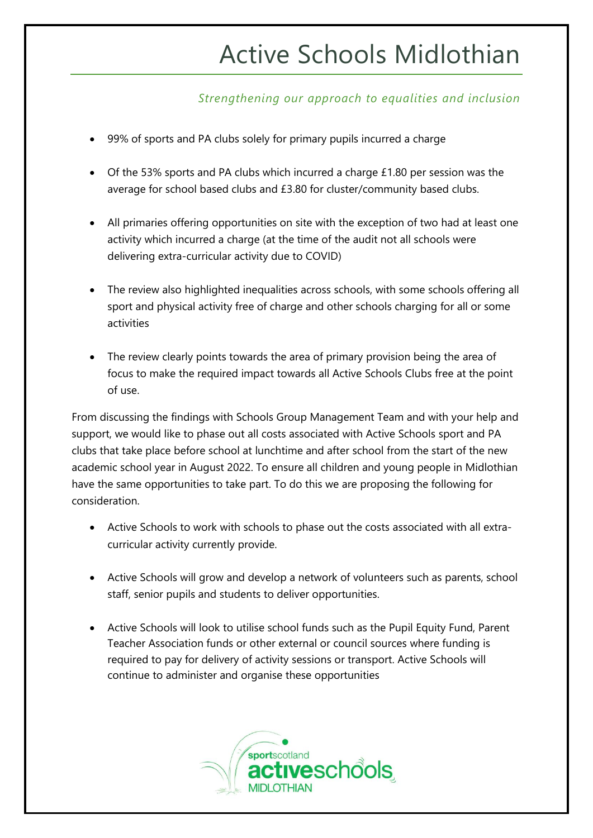# Active Schools Midlothian

### *Strengthening our approach to equalities and inclusion*

- 99% of sports and PA clubs solely for primary pupils incurred a charge
- Of the 53% sports and PA clubs which incurred a charge £1.80 per session was the average for school based clubs and £3.80 for cluster/community based clubs.
- All primaries offering opportunities on site with the exception of two had at least one activity which incurred a charge (at the time of the audit not all schools were delivering extra-curricular activity due to COVID)
- The review also highlighted inequalities across schools, with some schools offering all sport and physical activity free of charge and other schools charging for all or some activities
- The review clearly points towards the area of primary provision being the area of focus to make the required impact towards all Active Schools Clubs free at the point of use.

From discussing the findings with Schools Group Management Team and with your help and support, we would like to phase out all costs associated with Active Schools sport and PA clubs that take place before school at lunchtime and after school from the start of the new academic school year in August 2022. To ensure all children and young people in Midlothian have the same opportunities to take part. To do this we are proposing the following for consideration.

- Active Schools to work with schools to phase out the costs associated with all extracurricular activity currently provide.
- Active Schools will grow and develop a network of volunteers such as parents, school staff, senior pupils and students to deliver opportunities.
- Active Schools will look to utilise school funds such as the Pupil Equity Fund, Parent Teacher Association funds or other external or council sources where funding is required to pay for delivery of activity sessions or transport. Active Schools will continue to administer and organise these opportunities